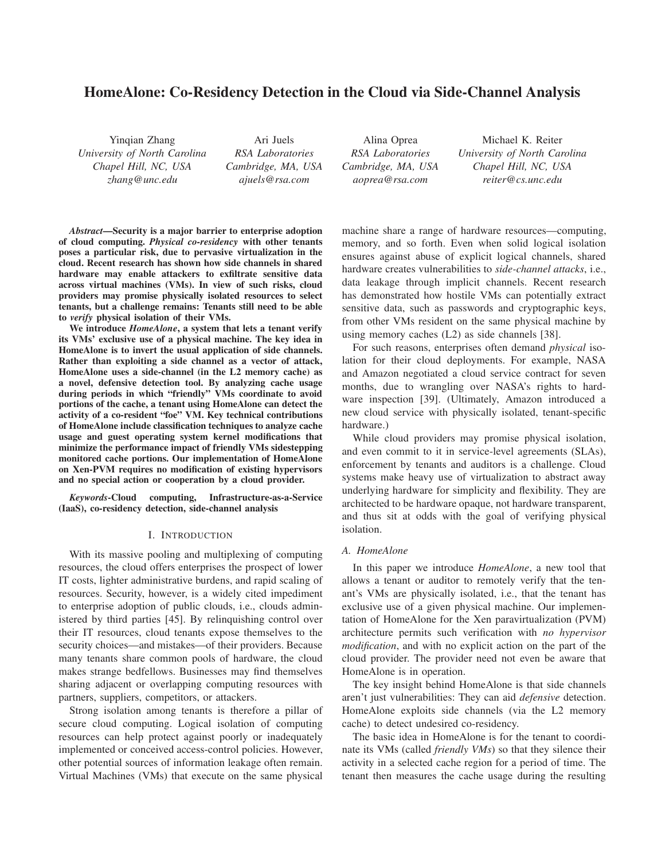# **HomeAlone: Co-Residency Detection in the Cloud via Side-Channel Analysis**

Yinqian Zhang *University of North Carolina Chapel Hill, NC, USA zhang@unc.edu*

Ari Juels *RSA Laboratories Cambridge, MA, USA ajuels@rsa.com*

Alina Oprea *RSA Laboratories Cambridge, MA, USA aoprea@rsa.com*

Michael K. Reiter *University of North Carolina Chapel Hill, NC, USA reiter@cs.unc.edu*

*Abstract***—Security is a major barrier to enterprise adoption of cloud computing.** *Physical co-residency* **with other tenants poses a particular risk, due to pervasive virtualization in the cloud. Recent research has shown how side channels in shared hardware may enable attackers to exfiltrate sensitive data across virtual machines (VMs). In view of such risks, cloud providers may promise physically isolated resources to select tenants, but a challenge remains: Tenants still need to be able to** *verify* **physical isolation of their VMs.**

**We introduce** *HomeAlone***, a system that lets a tenant verify its VMs' exclusive use of a physical machine. The key idea in HomeAlone is to invert the usual application of side channels. Rather than exploiting a side channel as a vector of attack, HomeAlone uses a side-channel (in the L2 memory cache) as a novel, defensive detection tool. By analyzing cache usage during periods in which "friendly" VMs coordinate to avoid portions of the cache, a tenant using HomeAlone can detect the activity of a co-resident "foe" VM. Key technical contributions of HomeAlone include classification techniques to analyze cache usage and guest operating system kernel modifications that minimize the performance impact of friendly VMs sidestepping monitored cache portions. Our implementation of HomeAlone on Xen-PVM requires no modification of existing hypervisors and no special action or cooperation by a cloud provider.**

*Keywords***-Cloud computing, Infrastructure-as-a-Service (IaaS), co-residency detection, side-channel analysis**

### I. INTRODUCTION

With its massive pooling and multiplexing of computing resources, the cloud offers enterprises the prospect of lower IT costs, lighter administrative burdens, and rapid scaling of resources. Security, however, is a widely cited impediment to enterprise adoption of public clouds, i.e., clouds administered by third parties [45]. By relinquishing control over their IT resources, cloud tenants expose themselves to the security choices—and mistakes—of their providers. Because many tenants share common pools of hardware, the cloud makes strange bedfellows. Businesses may find themselves sharing adjacent or overlapping computing resources with partners, suppliers, competitors, or attackers.

Strong isolation among tenants is therefore a pillar of secure cloud computing. Logical isolation of computing resources can help protect against poorly or inadequately implemented or conceived access-control policies. However, other potential sources of information leakage often remain. Virtual Machines (VMs) that execute on the same physical machine share a range of hardware resources—computing, memory, and so forth. Even when solid logical isolation ensures against abuse of explicit logical channels, shared hardware creates vulnerabilities to *side-channel attacks*, i.e., data leakage through implicit channels. Recent research has demonstrated how hostile VMs can potentially extract sensitive data, such as passwords and cryptographic keys, from other VMs resident on the same physical machine by using memory caches (L2) as side channels [38].

For such reasons, enterprises often demand *physical* isolation for their cloud deployments. For example, NASA and Amazon negotiated a cloud service contract for seven months, due to wrangling over NASA's rights to hardware inspection [39]. (Ultimately, Amazon introduced a new cloud service with physically isolated, tenant-specific hardware.)

While cloud providers may promise physical isolation, and even commit to it in service-level agreements (SLAs), enforcement by tenants and auditors is a challenge. Cloud systems make heavy use of virtualization to abstract away underlying hardware for simplicity and flexibility. They are architected to be hardware opaque, not hardware transparent, and thus sit at odds with the goal of verifying physical isolation.

### *A. HomeAlone*

In this paper we introduce *HomeAlone*, a new tool that allows a tenant or auditor to remotely verify that the tenant's VMs are physically isolated, i.e., that the tenant has exclusive use of a given physical machine. Our implementation of HomeAlone for the Xen paravirtualization (PVM) architecture permits such verification with *no hypervisor modification*, and with no explicit action on the part of the cloud provider. The provider need not even be aware that HomeAlone is in operation.

The key insight behind HomeAlone is that side channels aren't just vulnerabilities: They can aid *defensive* detection. HomeAlone exploits side channels (via the L2 memory cache) to detect undesired co-residency.

The basic idea in HomeAlone is for the tenant to coordinate its VMs (called *friendly VMs*) so that they silence their activity in a selected cache region for a period of time. The tenant then measures the cache usage during the resulting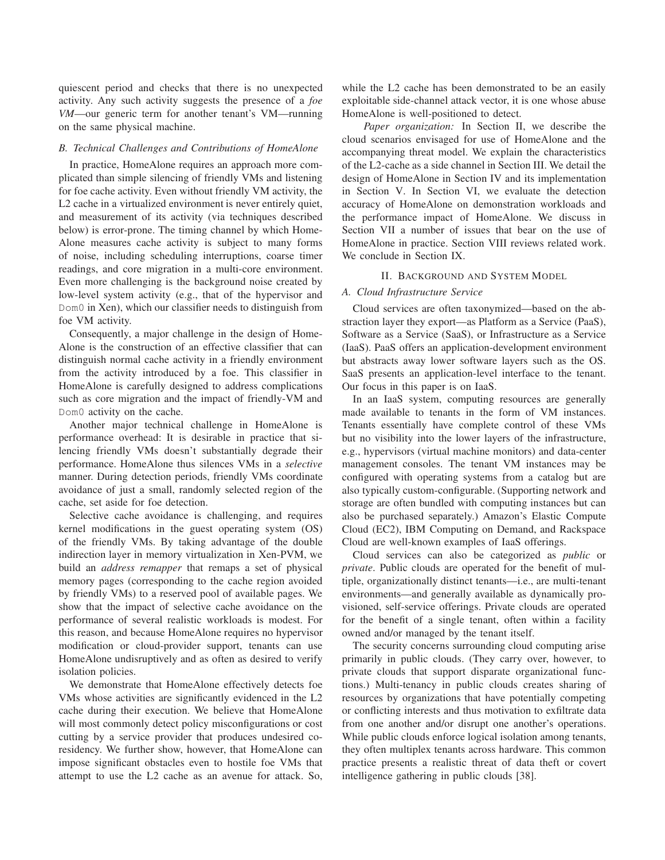quiescent period and checks that there is no unexpected activity. Any such activity suggests the presence of a *foe VM*—our generic term for another tenant's VM—running on the same physical machine.

### *B. Technical Challenges and Contributions of HomeAlone*

In practice, HomeAlone requires an approach more complicated than simple silencing of friendly VMs and listening for foe cache activity. Even without friendly VM activity, the L2 cache in a virtualized environment is never entirely quiet, and measurement of its activity (via techniques described below) is error-prone. The timing channel by which Home-Alone measures cache activity is subject to many forms of noise, including scheduling interruptions, coarse timer readings, and core migration in a multi-core environment. Even more challenging is the background noise created by low-level system activity (e.g., that of the hypervisor and Dom0 in Xen), which our classifier needs to distinguish from foe VM activity.

Consequently, a major challenge in the design of Home-Alone is the construction of an effective classifier that can distinguish normal cache activity in a friendly environment from the activity introduced by a foe. This classifier in HomeAlone is carefully designed to address complications such as core migration and the impact of friendly-VM and Dom0 activity on the cache.

Another major technical challenge in HomeAlone is performance overhead: It is desirable in practice that silencing friendly VMs doesn't substantially degrade their performance. HomeAlone thus silences VMs in a *selective* manner. During detection periods, friendly VMs coordinate avoidance of just a small, randomly selected region of the cache, set aside for foe detection.

Selective cache avoidance is challenging, and requires kernel modifications in the guest operating system (OS) of the friendly VMs. By taking advantage of the double indirection layer in memory virtualization in Xen-PVM, we build an *address remapper* that remaps a set of physical memory pages (corresponding to the cache region avoided by friendly VMs) to a reserved pool of available pages. We show that the impact of selective cache avoidance on the performance of several realistic workloads is modest. For this reason, and because HomeAlone requires no hypervisor modification or cloud-provider support, tenants can use HomeAlone undisruptively and as often as desired to verify isolation policies.

We demonstrate that HomeAlone effectively detects foe VMs whose activities are significantly evidenced in the L2 cache during their execution. We believe that HomeAlone will most commonly detect policy misconfigurations or cost cutting by a service provider that produces undesired coresidency. We further show, however, that HomeAlone can impose significant obstacles even to hostile foe VMs that attempt to use the L2 cache as an avenue for attack. So, while the L2 cache has been demonstrated to be an easily exploitable side-channel attack vector, it is one whose abuse HomeAlone is well-positioned to detect.

*Paper organization:* In Section II, we describe the cloud scenarios envisaged for use of HomeAlone and the accompanying threat model. We explain the characteristics of the L2-cache as a side channel in Section III. We detail the design of HomeAlone in Section IV and its implementation in Section V. In Section VI, we evaluate the detection accuracy of HomeAlone on demonstration workloads and the performance impact of HomeAlone. We discuss in Section VII a number of issues that bear on the use of HomeAlone in practice. Section VIII reviews related work. We conclude in Section IX.

### II. BACKGROUND AND SYSTEM MODEL

### *A. Cloud Infrastructure Service*

Cloud services are often taxonymized—based on the abstraction layer they export—as Platform as a Service (PaaS), Software as a Service (SaaS), or Infrastructure as a Service (IaaS). PaaS offers an application-development environment but abstracts away lower software layers such as the OS. SaaS presents an application-level interface to the tenant. Our focus in this paper is on IaaS.

In an IaaS system, computing resources are generally made available to tenants in the form of VM instances. Tenants essentially have complete control of these VMs but no visibility into the lower layers of the infrastructure, e.g., hypervisors (virtual machine monitors) and data-center management consoles. The tenant VM instances may be configured with operating systems from a catalog but are also typically custom-configurable. (Supporting network and storage are often bundled with computing instances but can also be purchased separately.) Amazon's Elastic Compute Cloud (EC2), IBM Computing on Demand, and Rackspace Cloud are well-known examples of IaaS offerings.

Cloud services can also be categorized as *public* or *private*. Public clouds are operated for the benefit of multiple, organizationally distinct tenants—i.e., are multi-tenant environments—and generally available as dynamically provisioned, self-service offerings. Private clouds are operated for the benefit of a single tenant, often within a facility owned and/or managed by the tenant itself.

The security concerns surrounding cloud computing arise primarily in public clouds. (They carry over, however, to private clouds that support disparate organizational functions.) Multi-tenancy in public clouds creates sharing of resources by organizations that have potentially competing or conflicting interests and thus motivation to exfiltrate data from one another and/or disrupt one another's operations. While public clouds enforce logical isolation among tenants, they often multiplex tenants across hardware. This common practice presents a realistic threat of data theft or covert intelligence gathering in public clouds [38].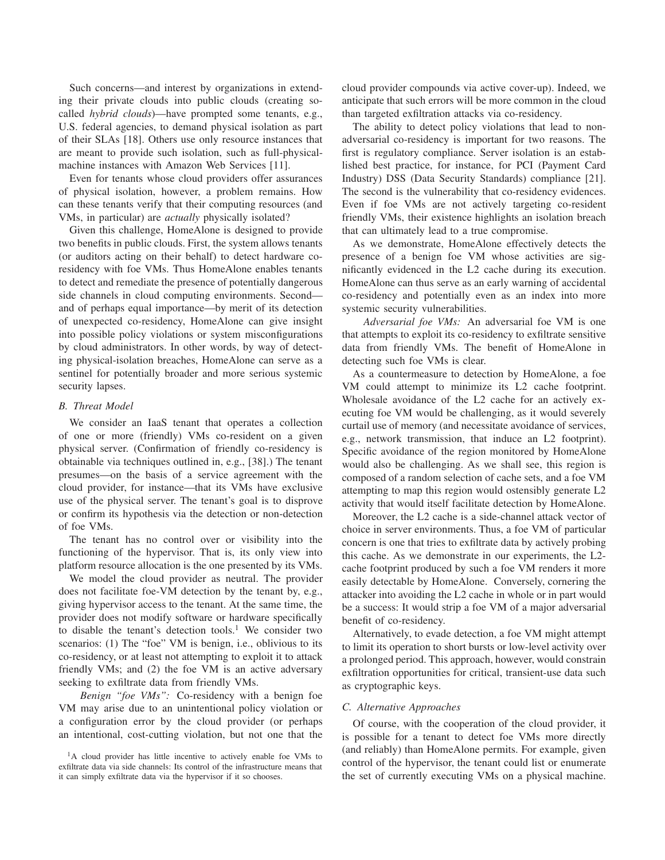Such concerns—and interest by organizations in extending their private clouds into public clouds (creating socalled *hybrid clouds*)—have prompted some tenants, e.g., U.S. federal agencies, to demand physical isolation as part of their SLAs [18]. Others use only resource instances that are meant to provide such isolation, such as full-physicalmachine instances with Amazon Web Services [11].

Even for tenants whose cloud providers offer assurances of physical isolation, however, a problem remains. How can these tenants verify that their computing resources (and VMs, in particular) are *actually* physically isolated?

Given this challenge, HomeAlone is designed to provide two benefits in public clouds. First, the system allows tenants (or auditors acting on their behalf) to detect hardware coresidency with foe VMs. Thus HomeAlone enables tenants to detect and remediate the presence of potentially dangerous side channels in cloud computing environments. Second and of perhaps equal importance—by merit of its detection of unexpected co-residency, HomeAlone can give insight into possible policy violations or system misconfigurations by cloud administrators. In other words, by way of detecting physical-isolation breaches, HomeAlone can serve as a sentinel for potentially broader and more serious systemic security lapses.

#### *B. Threat Model*

We consider an IaaS tenant that operates a collection of one or more (friendly) VMs co-resident on a given physical server. (Confirmation of friendly co-residency is obtainable via techniques outlined in, e.g., [38].) The tenant presumes—on the basis of a service agreement with the cloud provider, for instance—that its VMs have exclusive use of the physical server. The tenant's goal is to disprove or confirm its hypothesis via the detection or non-detection of foe VMs.

The tenant has no control over or visibility into the functioning of the hypervisor. That is, its only view into platform resource allocation is the one presented by its VMs.

We model the cloud provider as neutral. The provider does not facilitate foe-VM detection by the tenant by, e.g., giving hypervisor access to the tenant. At the same time, the provider does not modify software or hardware specifically to disable the tenant's detection tools.<sup>1</sup> We consider two scenarios: (1) The "foe" VM is benign, i.e., oblivious to its co-residency, or at least not attempting to exploit it to attack friendly VMs; and (2) the foe VM is an active adversary seeking to exfiltrate data from friendly VMs.

*Benign "foe VMs":* Co-residency with a benign foe VM may arise due to an unintentional policy violation or a configuration error by the cloud provider (or perhaps an intentional, cost-cutting violation, but not one that the cloud provider compounds via active cover-up). Indeed, we anticipate that such errors will be more common in the cloud than targeted exfiltration attacks via co-residency.

The ability to detect policy violations that lead to nonadversarial co-residency is important for two reasons. The first is regulatory compliance. Server isolation is an established best practice, for instance, for PCI (Payment Card Industry) DSS (Data Security Standards) compliance [21]. The second is the vulnerability that co-residency evidences. Even if foe VMs are not actively targeting co-resident friendly VMs, their existence highlights an isolation breach that can ultimately lead to a true compromise.

As we demonstrate, HomeAlone effectively detects the presence of a benign foe VM whose activities are significantly evidenced in the L2 cache during its execution. HomeAlone can thus serve as an early warning of accidental co-residency and potentially even as an index into more systemic security vulnerabilities.

*Adversarial foe VMs:* An adversarial foe VM is one that attempts to exploit its co-residency to exfiltrate sensitive data from friendly VMs. The benefit of HomeAlone in detecting such foe VMs is clear.

As a countermeasure to detection by HomeAlone, a foe VM could attempt to minimize its L2 cache footprint. Wholesale avoidance of the L2 cache for an actively executing foe VM would be challenging, as it would severely curtail use of memory (and necessitate avoidance of services, e.g., network transmission, that induce an L2 footprint). Specific avoidance of the region monitored by HomeAlone would also be challenging. As we shall see, this region is composed of a random selection of cache sets, and a foe VM attempting to map this region would ostensibly generate L2 activity that would itself facilitate detection by HomeAlone.

Moreover, the L2 cache is a side-channel attack vector of choice in server environments. Thus, a foe VM of particular concern is one that tries to exfiltrate data by actively probing this cache. As we demonstrate in our experiments, the L2 cache footprint produced by such a foe VM renders it more easily detectable by HomeAlone. Conversely, cornering the attacker into avoiding the L2 cache in whole or in part would be a success: It would strip a foe VM of a major adversarial benefit of co-residency.

Alternatively, to evade detection, a foe VM might attempt to limit its operation to short bursts or low-level activity over a prolonged period. This approach, however, would constrain exfiltration opportunities for critical, transient-use data such as cryptographic keys.

#### *C. Alternative Approaches*

Of course, with the cooperation of the cloud provider, it is possible for a tenant to detect foe VMs more directly (and reliably) than HomeAlone permits. For example, given control of the hypervisor, the tenant could list or enumerate the set of currently executing VMs on a physical machine.

<sup>&</sup>lt;sup>1</sup>A cloud provider has little incentive to actively enable foe VMs to exfiltrate data via side channels: Its control of the infrastructure means that it can simply exfiltrate data via the hypervisor if it so chooses.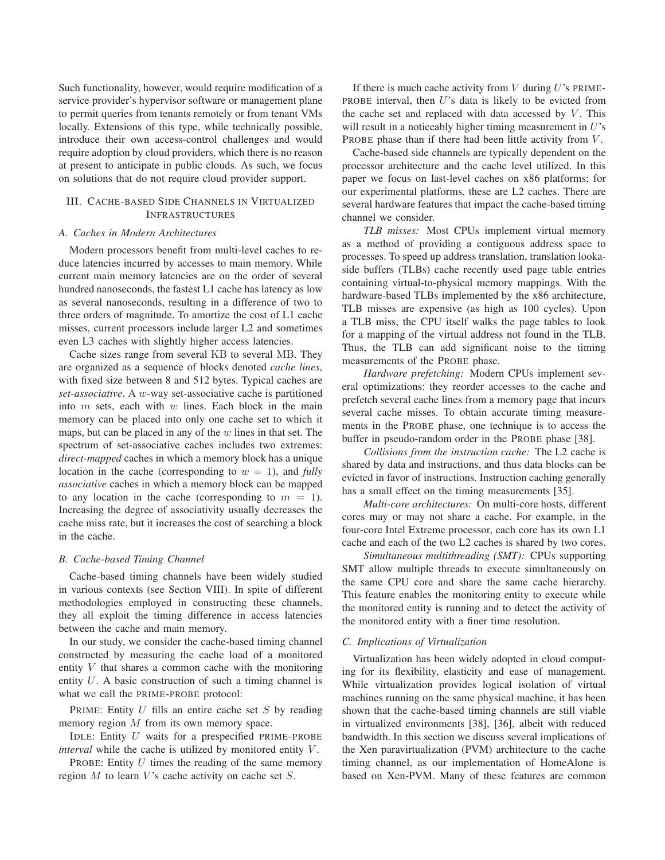Such functionality, however, would require modification of a service provider's hypervisor software or management plane to permit queries from tenants remotely or from tenant VMs locally. Extensions of this type, while technically possible, introduce their own access-control challenges and would require adoption by cloud providers, which there is no reason at present to anticipate in public clouds. As such, we focus on solutions that do not require cloud provider support.

# III. CACHE-BASED SIDE CHANNELS IN VIRTUALIZED INFRASTRUCTURES

# *A. Caches in Modern Architectures*

Modern processors benefit from multi-level caches to reduce latencies incurred by accesses to main memory. While current main memory latencies are on the order of several hundred nanoseconds, the fastest L1 cache has latency as low as several nanoseconds, resulting in a difference of two to three orders of magnitude. To amortize the cost of L1 cache misses, current processors include larger L2 and sometimes even L3 caches with slightly higher access latencies.

Cache sizes range from several KB to several MB. They are organized as a sequence of blocks denoted *cache lines*, with fixed size between 8 and 512 bytes. Typical caches are *set-associative*. A w-way set-associative cache is partitioned into  $m$  sets, each with  $w$  lines. Each block in the main memory can be placed into only one cache set to which it maps, but can be placed in any of the  $w$  lines in that set. The spectrum of set-associative caches includes two extremes: *direct-mapped* caches in which a memory block has a unique location in the cache (corresponding to  $w = 1$ ), and *fully associative* caches in which a memory block can be mapped to any location in the cache (corresponding to  $m = 1$ ). Increasing the degree of associativity usually decreases the cache miss rate, but it increases the cost of searching a block in the cache.

### *B. Cache-based Timing Channel*

Cache-based timing channels have been widely studied in various contexts (see Section VIII). In spite of different methodologies employed in constructing these channels, they all exploit the timing difference in access latencies between the cache and main memory.

In our study, we consider the cache-based timing channel constructed by measuring the cache load of a monitored entity V that shares a common cache with the monitoring entity U. A basic construction of such a timing channel is what we call the PRIME-PROBE protocol:

PRIME: Entity  $U$  fills an entire cache set  $S$  by reading memory region M from its own memory space.

IDLE: Entity U waits for a prespecified PRIME-PROBE *interval* while the cache is utilized by monitored entity V.

PROBE: Entity  $U$  times the reading of the same memory region  $M$  to learn  $V$ 's cache activity on cache set  $S$ .

If there is much cache activity from  $V$  during  $U$ 's PRIME-PROBE interval, then  $U$ 's data is likely to be evicted from the cache set and replaced with data accessed by  $V$ . This will result in a noticeably higher timing measurement in  $U$ 's PROBE phase than if there had been little activity from V.

Cache-based side channels are typically dependent on the processor architecture and the cache level utilized. In this paper we focus on last-level caches on x86 platforms; for our experimental platforms, these are L2 caches. There are several hardware features that impact the cache-based timing channel we consider.

*TLB misses:* Most CPUs implement virtual memory as a method of providing a contiguous address space to processes. To speed up address translation, translation lookaside buffers (TLBs) cache recently used page table entries containing virtual-to-physical memory mappings. With the hardware-based TLBs implemented by the x86 architecture, TLB misses are expensive (as high as 100 cycles). Upon a TLB miss, the CPU itself walks the page tables to look for a mapping of the virtual address not found in the TLB. Thus, the TLB can add significant noise to the timing measurements of the PROBE phase.

*Hardware prefetching:* Modern CPUs implement several optimizations: they reorder accesses to the cache and prefetch several cache lines from a memory page that incurs several cache misses. To obtain accurate timing measurements in the PROBE phase, one technique is to access the buffer in pseudo-random order in the PROBE phase [38].

*Collisions from the instruction cache:* The L2 cache is shared by data and instructions, and thus data blocks can be evicted in favor of instructions. Instruction caching generally has a small effect on the timing measurements [35].

*Multi-core architectures:* On multi-core hosts, different cores may or may not share a cache. For example, in the four-core Intel Extreme processor, each core has its own L1 cache and each of the two L2 caches is shared by two cores.

*Simultaneous multithreading (SMT):* CPUs supporting SMT allow multiple threads to execute simultaneously on the same CPU core and share the same cache hierarchy. This feature enables the monitoring entity to execute while the monitored entity is running and to detect the activity of the monitored entity with a finer time resolution.

# *C. Implications of Virtualization*

Virtualization has been widely adopted in cloud computing for its flexibility, elasticity and ease of management. While virtualization provides logical isolation of virtual machines running on the same physical machine, it has been shown that the cache-based timing channels are still viable in virtualized environments [38], [36], albeit with reduced bandwidth. In this section we discuss several implications of the Xen paravirtualization (PVM) architecture to the cache timing channel, as our implementation of HomeAlone is based on Xen-PVM. Many of these features are common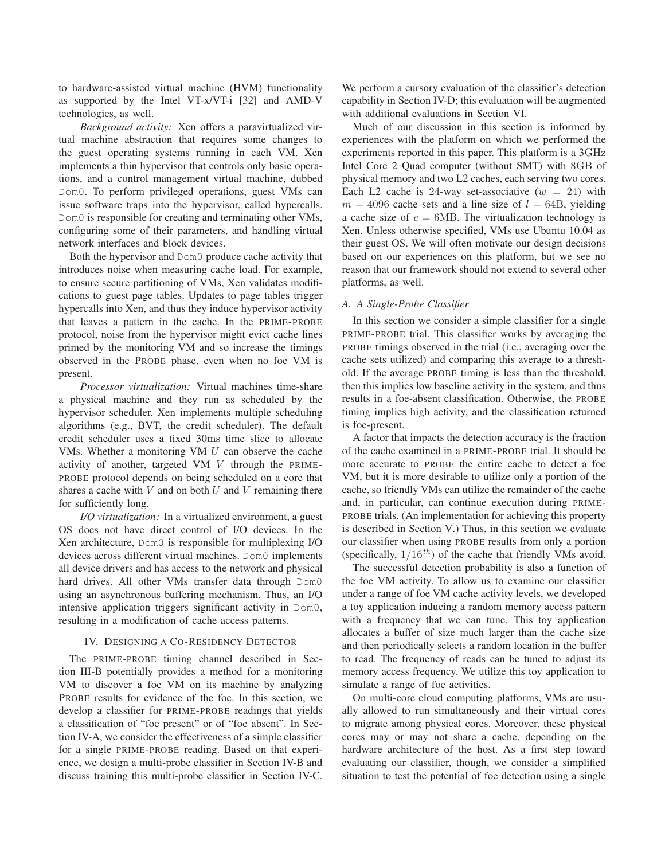to hardware-assisted virtual machine (HVM) functionality as supported by the Intel VT-x/VT-i [32] and AMD-V technologies, as well.

*Background activity:* Xen offers a paravirtualized virtual machine abstraction that requires some changes to the guest operating systems running in each VM. Xen implements a thin hypervisor that controls only basic operations, and a control management virtual machine, dubbed Dom0. To perform privileged operations, guest VMs can issue software traps into the hypervisor, called hypercalls. Dom0 is responsible for creating and terminating other VMs, configuring some of their parameters, and handling virtual network interfaces and block devices.

Both the hypervisor and Dom0 produce cache activity that introduces noise when measuring cache load. For example, to ensure secure partitioning of VMs, Xen validates modifications to guest page tables. Updates to page tables trigger hypercalls into Xen, and thus they induce hypervisor activity that leaves a pattern in the cache. In the PRIME-PROBE protocol, noise from the hypervisor might evict cache lines primed by the monitoring VM and so increase the timings observed in the PROBE phase, even when no foe VM is present.

*Processor virtualization:* Virtual machines time-share a physical machine and they run as scheduled by the hypervisor scheduler. Xen implements multiple scheduling algorithms (e.g., BVT, the credit scheduler). The default credit scheduler uses a fixed 30ms time slice to allocate VMs. Whether a monitoring VM  $U$  can observe the cache activity of another, targeted VM V through the PRIME-PROBE protocol depends on being scheduled on a core that shares a cache with  $V$  and on both  $U$  and  $V$  remaining there for sufficiently long.

*I/O virtualization:* In a virtualized environment, a guest OS does not have direct control of I/O devices. In the Xen architecture, Dom0 is responsible for multiplexing I/O devices across different virtual machines. Dom0 implements all device drivers and has access to the network and physical hard drives. All other VMs transfer data through Dom0 using an asynchronous buffering mechanism. Thus, an I/O intensive application triggers significant activity in Dom0, resulting in a modification of cache access patterns.

#### IV. DESIGNING A CO-RESIDENCY DETECTOR

The PRIME-PROBE timing channel described in Section III-B potentially provides a method for a monitoring VM to discover a foe VM on its machine by analyzing PROBE results for evidence of the foe. In this section, we develop a classifier for PRIME-PROBE readings that yields a classification of "foe present" or of "foe absent". In Section IV-A, we consider the effectiveness of a simple classifier for a single PRIME-PROBE reading. Based on that experience, we design a multi-probe classifier in Section IV-B and discuss training this multi-probe classifier in Section IV-C. We perform a cursory evaluation of the classifier's detection capability in Section IV-D; this evaluation will be augmented with additional evaluations in Section VI.

Much of our discussion in this section is informed by experiences with the platform on which we performed the experiments reported in this paper. This platform is a 3GHz Intel Core 2 Quad computer (without SMT) with 8GB of physical memory and two L2 caches, each serving two cores. Each L2 cache is 24-way set-associative  $(w = 24)$  with  $m = 4096$  cache sets and a line size of  $l = 64B$ , yielding a cache size of  $c = 6MB$ . The virtualization technology is Xen. Unless otherwise specified, VMs use Ubuntu 10.04 as their guest OS. We will often motivate our design decisions based on our experiences on this platform, but we see no reason that our framework should not extend to several other platforms, as well.

# *A. A Single-Probe Classifier*

In this section we consider a simple classifier for a single PRIME-PROBE trial. This classifier works by averaging the PROBE timings observed in the trial (i.e., averaging over the cache sets utilized) and comparing this average to a threshold. If the average PROBE timing is less than the threshold, then this implies low baseline activity in the system, and thus results in a foe-absent classification. Otherwise, the PROBE timing implies high activity, and the classification returned is foe-present.

A factor that impacts the detection accuracy is the fraction of the cache examined in a PRIME-PROBE trial. It should be more accurate to PROBE the entire cache to detect a foe VM, but it is more desirable to utilize only a portion of the cache, so friendly VMs can utilize the remainder of the cache and, in particular, can continue execution during PRIME-PROBE trials. (An implementation for achieving this property is described in Section V.) Thus, in this section we evaluate our classifier when using PROBE results from only a portion (specifically,  $1/16^{th}$ ) of the cache that friendly VMs avoid.

The successful detection probability is also a function of the foe VM activity. To allow us to examine our classifier under a range of foe VM cache activity levels, we developed a toy application inducing a random memory access pattern with a frequency that we can tune. This toy application allocates a buffer of size much larger than the cache size and then periodically selects a random location in the buffer to read. The frequency of reads can be tuned to adjust its memory access frequency. We utilize this toy application to simulate a range of foe activities.

On multi-core cloud computing platforms, VMs are usually allowed to run simultaneously and their virtual cores to migrate among physical cores. Moreover, these physical cores may or may not share a cache, depending on the hardware architecture of the host. As a first step toward evaluating our classifier, though, we consider a simplified situation to test the potential of foe detection using a single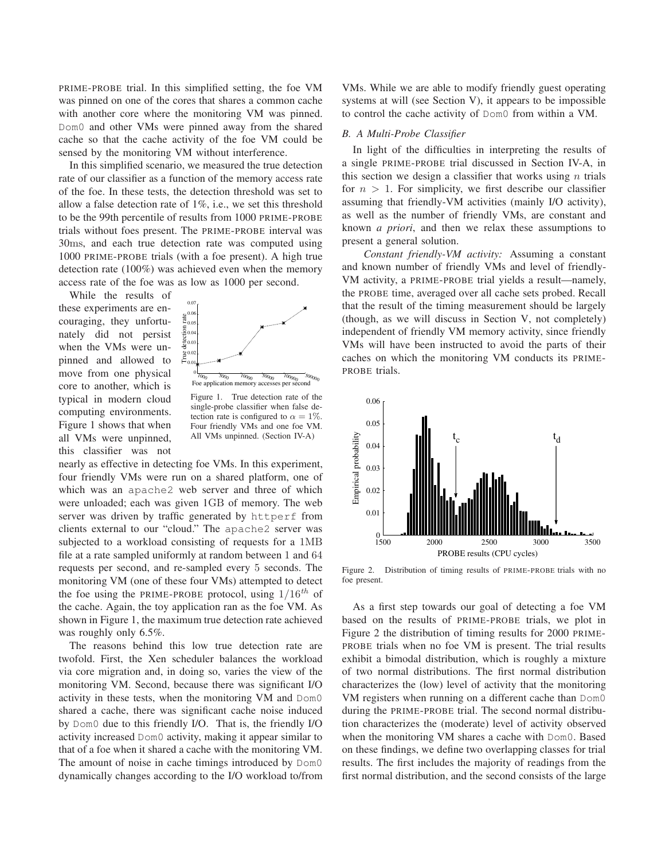PRIME-PROBE trial. In this simplified setting, the foe VM was pinned on one of the cores that shares a common cache with another core where the monitoring VM was pinned. Dom0 and other VMs were pinned away from the shared cache so that the cache activity of the foe VM could be sensed by the monitoring VM without interference.

In this simplified scenario, we measured the true detection rate of our classifier as a function of the memory access rate of the foe. In these tests, the detection threshold was set to allow a false detection rate of 1%, i.e., we set this threshold to be the 99th percentile of results from 1000 PRIME-PROBE trials without foes present. The PRIME-PROBE interval was 30ms, and each true detection rate was computed using 1000 PRIME-PROBE trials (with a foe present). A high true detection rate (100%) was achieved even when the memory access rate of the foe was as low as 1000 per second.

While the results of these experiments are encouraging, they unfortunately did not persist when the VMs were unpinned and allowed to move from one physical core to another, which is typical in modern cloud computing environments. Figure 1 shows that when all VMs were unpinned, this classifier was not



Figure 1. True detection rate of the single-probe classifier when false detection rate is configured to  $\alpha = 1\%$ . Four friendly VMs and one foe VM. All VMs unpinned. (Section IV-A)

nearly as effective in detecting foe VMs. In this experiment, four friendly VMs were run on a shared platform, one of which was an apache2 web server and three of which were unloaded; each was given 1GB of memory. The web server was driven by traffic generated by httperf from clients external to our "cloud." The apache2 server was subjected to a workload consisting of requests for a 1MB file at a rate sampled uniformly at random between 1 and 64 requests per second, and re-sampled every 5 seconds. The monitoring VM (one of these four VMs) attempted to detect the foe using the PRIME-PROBE protocol, using  $1/16^{th}$  of the cache. Again, the toy application ran as the foe VM. As shown in Figure 1, the maximum true detection rate achieved was roughly only 6.5%.

The reasons behind this low true detection rate are twofold. First, the Xen scheduler balances the workload via core migration and, in doing so, varies the view of the monitoring VM. Second, because there was significant I/O activity in these tests, when the monitoring VM and Dom0 shared a cache, there was significant cache noise induced by Dom0 due to this friendly I/O. That is, the friendly I/O activity increased Dom0 activity, making it appear similar to that of a foe when it shared a cache with the monitoring VM. The amount of noise in cache timings introduced by Dom0 dynamically changes according to the I/O workload to/from VMs. While we are able to modify friendly guest operating systems at will (see Section V), it appears to be impossible to control the cache activity of Dom0 from within a VM.

### *B. A Multi-Probe Classifier*

In light of the difficulties in interpreting the results of a single PRIME-PROBE trial discussed in Section IV-A, in this section we design a classifier that works using  $n$  trials for  $n > 1$ . For simplicity, we first describe our classifier assuming that friendly-VM activities (mainly I/O activity), as well as the number of friendly VMs, are constant and known *a priori*, and then we relax these assumptions to present a general solution.

*Constant friendly-VM activity:* Assuming a constant and known number of friendly VMs and level of friendly-VM activity, a PRIME-PROBE trial yields a result—namely, the PROBE time, averaged over all cache sets probed. Recall that the result of the timing measurement should be largely (though, as we will discuss in Section V, not completely) independent of friendly VM memory activity, since friendly VMs will have been instructed to avoid the parts of their caches on which the monitoring VM conducts its PRIME-PROBE trials.



Figure 2. Distribution of timing results of PRIME-PROBE trials with no foe present.

As a first step towards our goal of detecting a foe VM based on the results of PRIME-PROBE trials, we plot in Figure 2 the distribution of timing results for 2000 PRIME-PROBE trials when no foe VM is present. The trial results exhibit a bimodal distribution, which is roughly a mixture of two normal distributions. The first normal distribution characterizes the (low) level of activity that the monitoring VM registers when running on a different cache than Dom0 during the PRIME-PROBE trial. The second normal distribution characterizes the (moderate) level of activity observed when the monitoring VM shares a cache with Dom0. Based on these findings, we define two overlapping classes for trial results. The first includes the majority of readings from the first normal distribution, and the second consists of the large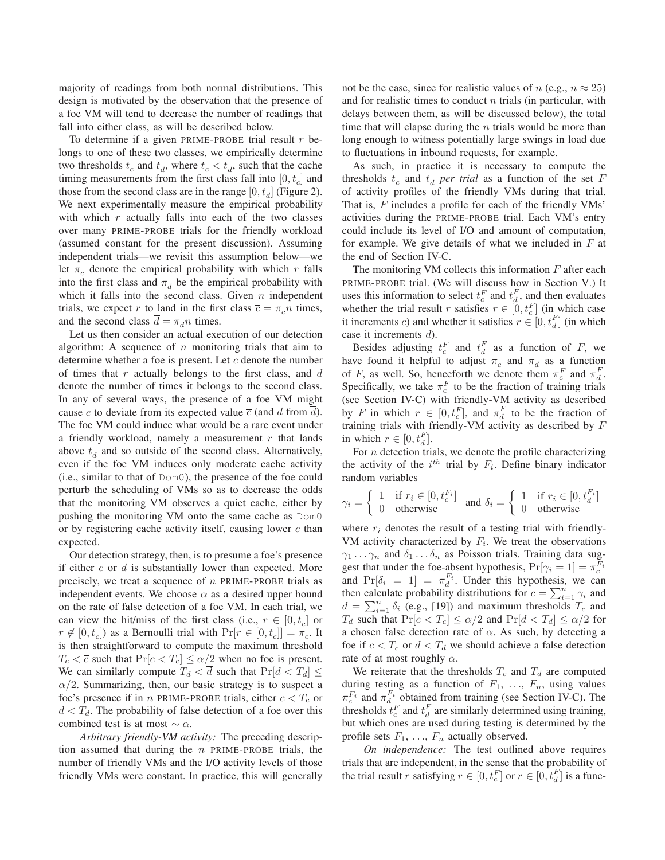majority of readings from both normal distributions. This design is motivated by the observation that the presence of a foe VM will tend to decrease the number of readings that fall into either class, as will be described below.

To determine if a given PRIME-PROBE trial result  $r$  belongs to one of these two classes, we empirically determine two thresholds  $t_c$  and  $t_d$ , where  $t_c < t_d$ , such that the cache timing measurements from the first class fall into  $[0, t_c]$  and those from the second class are in the range  $[0, t_d]$  (Figure 2). We next experimentally measure the empirical probability with which  $r$  actually falls into each of the two classes over many PRIME-PROBE trials for the friendly workload (assumed constant for the present discussion). Assuming independent trials—we revisit this assumption below—we let  $\pi_c$  denote the empirical probability with which r falls into the first class and  $\pi_d$  be the empirical probability with which it falls into the second class. Given  $n$  independent trials, we expect r to land in the first class  $\overline{c} = \pi_c n$  times, and the second class  $\overline{d} = \pi_d n$  times.

Let us then consider an actual execution of our detection algorithm: A sequence of  $n$  monitoring trials that aim to determine whether a foe is present. Let  $c$  denote the number of times that  $r$  actually belongs to the first class, and  $d$ denote the number of times it belongs to the second class. In any of several ways, the presence of a foe VM might cause c to deviate from its expected value  $\overline{c}$  (and d from d). The foe VM could induce what would be a rare event under a friendly workload, namely a measurement  $r$  that lands above  $t_d$  and so outside of the second class. Alternatively, even if the foe VM induces only moderate cache activity (i.e., similar to that of Dom0), the presence of the foe could perturb the scheduling of VMs so as to decrease the odds that the monitoring VM observes a quiet cache, either by pushing the monitoring VM onto the same cache as Dom0 or by registering cache activity itself, causing lower  $c$  than expected.

Our detection strategy, then, is to presume a foe's presence if either  $c$  or  $d$  is substantially lower than expected. More precisely, we treat a sequence of  $n$  PRIME-PROBE trials as independent events. We choose  $\alpha$  as a desired upper bound on the rate of false detection of a foe VM. In each trial, we can view the hit/miss of the first class (i.e.,  $r \in [0, t_c]$  or  $r \notin [0, t_c]$ ) as a Bernoulli trial with  $Pr[r \in [0, t_c]] = \pi_c$ . It is then straightforward to compute the maximum threshold  $T_c < \overline{c}$  such that  $Pr[c < T_c] \le \alpha/2$  when no foe is present. We can similarly compute  $T_d < \overline{d}$  such that  $Pr[d < T_d] \le$  $\alpha/2$ . Summarizing, then, our basic strategy is to suspect a foe's presence if in *n* PRIME-PROBE trials, either  $c < T_c$  or  $d < T_d$ . The probability of false detection of a foe over this combined test is at most  $\sim \alpha$ .

*Arbitrary friendly-VM activity:* The preceding description assumed that during the  $n$  PRIME-PROBE trials, the number of friendly VMs and the I/O activity levels of those friendly VMs were constant. In practice, this will generally not be the case, since for realistic values of n (e.g.,  $n \approx 25$ ) and for realistic times to conduct  $n$  trials (in particular, with delays between them, as will be discussed below), the total time that will elapse during the  $n$  trials would be more than long enough to witness potentially large swings in load due to fluctuations in inbound requests, for example.

As such, in practice it is necessary to compute the thresholds  $t_c$  and  $t_d$  *per trial* as a function of the set F of activity profiles of the friendly VMs during that trial. That is, F includes a profile for each of the friendly VMs' activities during the PRIME-PROBE trial. Each VM's entry could include its level of I/O and amount of computation, for example. We give details of what we included in  $F$  at the end of Section IV-C.

The monitoring VM collects this information  $F$  after each PRIME-PROBE trial. (We will discuss how in Section V.) It uses this information to select  $t_c^F$  and  $t_d^F$ , and then evaluates whether the trial result r satisfies  $r \in [0, t_c^F]$  (in which case it increments c) and whether it satisfies  $r \in [0, t_d^F]$  (in which case it increments d).

Besides adjusting  $t_c^F$  and  $t_d^F$  as a function of F, we have found it helpful to adjust  $\pi_c$  and  $\pi_d$  as a function of F, as well. So, henceforth we denote them  $\pi_c^F$  and  $\pi_d^F$ . Specifically, we take  $\pi_c^F$  to be the fraction of training trials (see Section IV-C) with friendly-VM activity as described by F in which  $r \in [0, t_c^F]$ , and  $\pi_d^F$  to be the fraction of training trials with friendly-VM activity as described by F in which  $r \in [0, t_d^F]$ .

For  $n$  detection trials, we denote the profile characterizing the activity of the  $i^{th}$  trial by  $F_i$ . Define binary indicator random variables

$$
\gamma_i = \left\{ \begin{array}{ll} 1 & \text{if } r_i \in [0, t_c^{F_i}] \\ 0 & \text{otherwise} \end{array} \right. \text{and } \delta_i = \left\{ \begin{array}{ll} 1 & \text{if } r_i \in [0, t_d^{F_i}] \\ 0 & \text{otherwise} \end{array} \right.
$$

where  $r_i$  denotes the result of a testing trial with friendly-VM activity characterized by  $F_i$ . We treat the observations  $\gamma_1 \ldots \gamma_n$  and  $\delta_1 \ldots \delta_n$  as Poisson trials. Training data suggest that under the foe-absent hypothesis,  $Pr[\gamma_i = 1] = \pi_c^{F_i}$ and  $Pr[\delta_i = 1] = \pi_d^{F_i}$ . Under this hypothesis, we can then calculate probability distributions for  $c = \sum_{i=1}^{n} \gamma_i$  and  $d = \sum_{i=1}^{n} \delta_i$  (e.g., [19]) and maximum thresholds  $T_c$  and  $T_d$  such that  $Pr[c < T_c] \le \alpha/2$  and  $Pr[d < T_d] \le \alpha/2$  for a chosen false detection rate of  $\alpha$ . As such, by detecting a foe if  $c < T_c$  or  $d < T_d$  we should achieve a false detection rate of at most roughly  $\alpha$ .

We reiterate that the thresholds  $T_c$  and  $T_d$  are computed during testing as a function of  $F_1$ , ...,  $F_n$ , using values  $\pi_c^{F_i}$  and  $\pi_d^{F_i}$  obtained from training (see Section IV-C). The thresholds  $t_c^F$  and  $t_d^F$  are similarly determined using training, but which ones are used during testing is determined by the profile sets  $F_1, \ldots, F_n$  actually observed.

*On independence:* The test outlined above requires trials that are independent, in the sense that the probability of the trial result r satisfying  $r \in [0, t_c^F]$  or  $r \in [0, t_d^F]$  is a func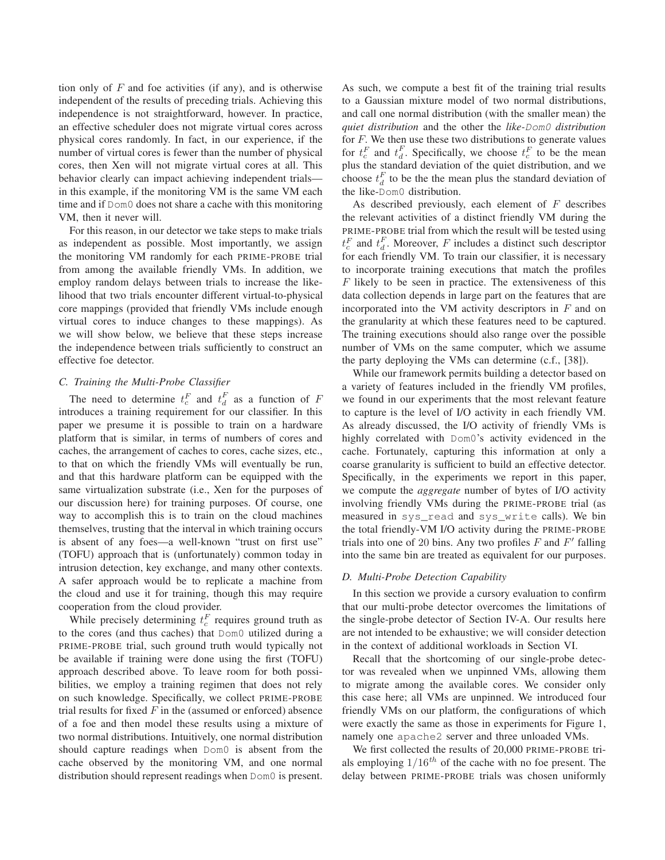tion only of  $F$  and foe activities (if any), and is otherwise independent of the results of preceding trials. Achieving this independence is not straightforward, however. In practice, an effective scheduler does not migrate virtual cores across physical cores randomly. In fact, in our experience, if the number of virtual cores is fewer than the number of physical cores, then Xen will not migrate virtual cores at all. This behavior clearly can impact achieving independent trials in this example, if the monitoring VM is the same VM each time and if Dom0 does not share a cache with this monitoring VM, then it never will.

For this reason, in our detector we take steps to make trials as independent as possible. Most importantly, we assign the monitoring VM randomly for each PRIME-PROBE trial from among the available friendly VMs. In addition, we employ random delays between trials to increase the likelihood that two trials encounter different virtual-to-physical core mappings (provided that friendly VMs include enough virtual cores to induce changes to these mappings). As we will show below, we believe that these steps increase the independence between trials sufficiently to construct an effective foe detector.

### *C. Training the Multi-Probe Classifier*

The need to determine  $t_c^F$  and  $t_d^F$  as a function of F introduces a training requirement for our classifier. In this paper we presume it is possible to train on a hardware platform that is similar, in terms of numbers of cores and caches, the arrangement of caches to cores, cache sizes, etc., to that on which the friendly VMs will eventually be run, and that this hardware platform can be equipped with the same virtualization substrate (i.e., Xen for the purposes of our discussion here) for training purposes. Of course, one way to accomplish this is to train on the cloud machines themselves, trusting that the interval in which training occurs is absent of any foes—a well-known "trust on first use" (TOFU) approach that is (unfortunately) common today in intrusion detection, key exchange, and many other contexts. A safer approach would be to replicate a machine from the cloud and use it for training, though this may require cooperation from the cloud provider.

While precisely determining  $t_c^F$  requires ground truth as to the cores (and thus caches) that Dom0 utilized during a PRIME-PROBE trial, such ground truth would typically not be available if training were done using the first (TOFU) approach described above. To leave room for both possibilities, we employ a training regimen that does not rely on such knowledge. Specifically, we collect PRIME-PROBE trial results for fixed  $F$  in the (assumed or enforced) absence of a foe and then model these results using a mixture of two normal distributions. Intuitively, one normal distribution should capture readings when Dom0 is absent from the cache observed by the monitoring VM, and one normal distribution should represent readings when Dom0 is present. As such, we compute a best fit of the training trial results to a Gaussian mixture model of two normal distributions, and call one normal distribution (with the smaller mean) the *quiet distribution* and the other the *like-*Dom0 *distribution* for F. We then use these two distributions to generate values for  $t_c^F$  and  $t_d^F$ . Specifically, we choose  $t_c^F$  to be the mean plus the standard deviation of the quiet distribution, and we choose  $t_d^F$  to be the the mean plus the standard deviation of the like-Dom0 distribution.

As described previously, each element of  $F$  describes the relevant activities of a distinct friendly VM during the PRIME-PROBE trial from which the result will be tested using  $t_c^F$  and  $t_d^F$ . Moreover, F includes a distinct such descriptor for each friendly VM. To train our classifier, it is necessary to incorporate training executions that match the profiles  $F$  likely to be seen in practice. The extensiveness of this data collection depends in large part on the features that are incorporated into the VM activity descriptors in  $F$  and on the granularity at which these features need to be captured. The training executions should also range over the possible number of VMs on the same computer, which we assume the party deploying the VMs can determine (c.f., [38]).

While our framework permits building a detector based on a variety of features included in the friendly VM profiles, we found in our experiments that the most relevant feature to capture is the level of I/O activity in each friendly VM. As already discussed, the I/O activity of friendly VMs is highly correlated with Dom0's activity evidenced in the cache. Fortunately, capturing this information at only a coarse granularity is sufficient to build an effective detector. Specifically, in the experiments we report in this paper, we compute the *aggregate* number of bytes of I/O activity involving friendly VMs during the PRIME-PROBE trial (as measured in sys\_read and sys\_write calls). We bin the total friendly-VM I/O activity during the PRIME-PROBE trials into one of 20 bins. Any two profiles  $F$  and  $F'$  falling into the same bin are treated as equivalent for our purposes.

#### *D. Multi-Probe Detection Capability*

In this section we provide a cursory evaluation to confirm that our multi-probe detector overcomes the limitations of the single-probe detector of Section IV-A. Our results here are not intended to be exhaustive; we will consider detection in the context of additional workloads in Section VI.

Recall that the shortcoming of our single-probe detector was revealed when we unpinned VMs, allowing them to migrate among the available cores. We consider only this case here; all VMs are unpinned. We introduced four friendly VMs on our platform, the configurations of which were exactly the same as those in experiments for Figure 1, namely one apache2 server and three unloaded VMs.

We first collected the results of 20,000 PRIME-PROBE trials employing  $1/16^{th}$  of the cache with no foe present. The delay between PRIME-PROBE trials was chosen uniformly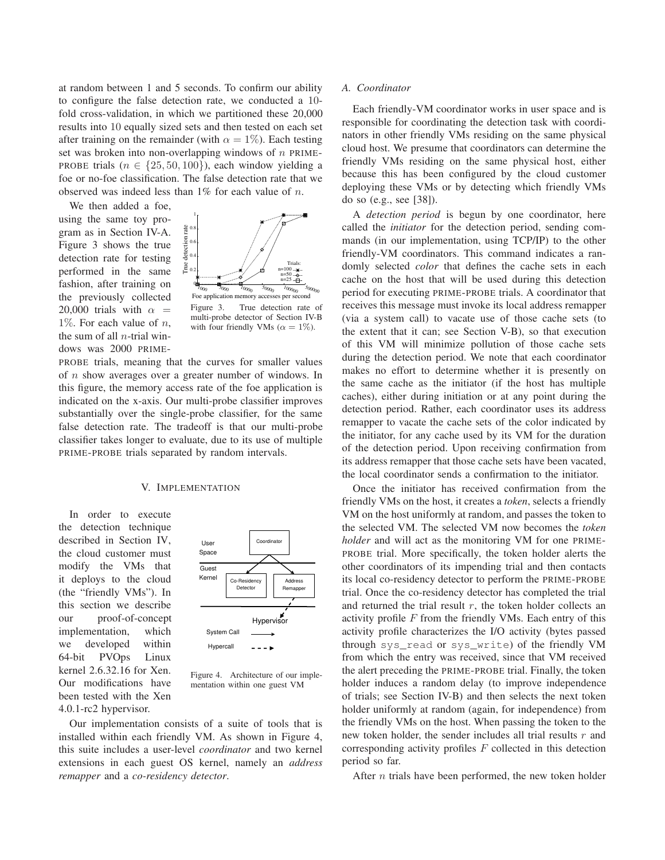at random between 1 and 5 seconds. To confirm our ability to configure the false detection rate, we conducted a 10 fold cross-validation, in which we partitioned these 20,000 results into 10 equally sized sets and then tested on each set after training on the remainder (with  $\alpha = 1\%$ ). Each testing set was broken into non-overlapping windows of  $n$  PRIME-PROBE trials ( $n \in \{25, 50, 100\}$ ), each window yielding a foe or no-foe classification. The false detection rate that we observed was indeed less than  $1\%$  for each value of n.

We then added a foe, using the same toy program as in Section IV-A. Figure 3 shows the true detection rate for testing performed in the same fashion, after training on the previously collected 20,000 trials with  $\alpha =$ 1%. For each value of  $n$ , the sum of all  $n$ -trial windows was 2000 PRIME-



multi-probe detector of Section IV-B with four friendly VMs ( $\alpha = 1\%$ ).

PROBE trials, meaning that the curves for smaller values of n show averages over a greater number of windows. In this figure, the memory access rate of the foe application is indicated on the x-axis. Our multi-probe classifier improves substantially over the single-probe classifier, for the same false detection rate. The tradeoff is that our multi-probe classifier takes longer to evaluate, due to its use of multiple PRIME-PROBE trials separated by random intervals.

#### V. IMPLEMENTATION

In order to execute the detection technique described in Section IV, the cloud customer must modify the VMs that it deploys to the cloud (the "friendly VMs"). In this section we describe our proof-of-concept implementation, which we developed within 64-bit PVOps Linux kernel 2.6.32.16 for Xen. Our modifications have been tested with the Xen 4.0.1-rc2 hypervisor.



Figure 4. Architecture of our implementation within one guest VM

Our implementation consists of a suite of tools that is installed within each friendly VM. As shown in Figure 4, this suite includes a user-level *coordinator* and two kernel extensions in each guest OS kernel, namely an *address remapper* and a *co-residency detector*.

#### *A. Coordinator*

Each friendly-VM coordinator works in user space and is responsible for coordinating the detection task with coordinators in other friendly VMs residing on the same physical cloud host. We presume that coordinators can determine the friendly VMs residing on the same physical host, either because this has been configured by the cloud customer deploying these VMs or by detecting which friendly VMs do so (e.g., see [38]).

A *detection period* is begun by one coordinator, here called the *initiator* for the detection period, sending commands (in our implementation, using TCP/IP) to the other friendly-VM coordinators. This command indicates a randomly selected *color* that defines the cache sets in each cache on the host that will be used during this detection period for executing PRIME-PROBE trials. A coordinator that receives this message must invoke its local address remapper (via a system call) to vacate use of those cache sets (to the extent that it can; see Section V-B), so that execution of this VM will minimize pollution of those cache sets during the detection period. We note that each coordinator makes no effort to determine whether it is presently on the same cache as the initiator (if the host has multiple caches), either during initiation or at any point during the detection period. Rather, each coordinator uses its address remapper to vacate the cache sets of the color indicated by the initiator, for any cache used by its VM for the duration of the detection period. Upon receiving confirmation from its address remapper that those cache sets have been vacated, the local coordinator sends a confirmation to the initiator.

Once the initiator has received confirmation from the friendly VMs on the host, it creates a *token*, selects a friendly VM on the host uniformly at random, and passes the token to the selected VM. The selected VM now becomes the *token holder* and will act as the monitoring VM for one PRIME-PROBE trial. More specifically, the token holder alerts the other coordinators of its impending trial and then contacts its local co-residency detector to perform the PRIME-PROBE trial. Once the co-residency detector has completed the trial and returned the trial result  $r$ , the token holder collects an activity profile  $F$  from the friendly VMs. Each entry of this activity profile characterizes the I/O activity (bytes passed through sys\_read or sys\_write) of the friendly VM from which the entry was received, since that VM received the alert preceding the PRIME-PROBE trial. Finally, the token holder induces a random delay (to improve independence of trials; see Section IV-B) and then selects the next token holder uniformly at random (again, for independence) from the friendly VMs on the host. When passing the token to the new token holder, the sender includes all trial results  $r$  and corresponding activity profiles  $F$  collected in this detection period so far.

After *n* trials have been performed, the new token holder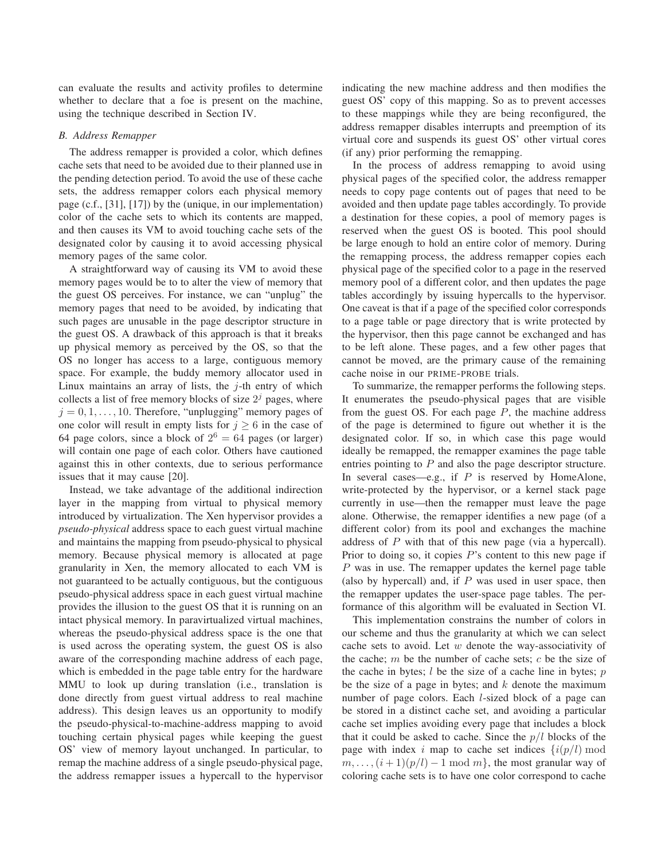can evaluate the results and activity profiles to determine whether to declare that a foe is present on the machine, using the technique described in Section IV.

### *B. Address Remapper*

The address remapper is provided a color, which defines cache sets that need to be avoided due to their planned use in the pending detection period. To avoid the use of these cache sets, the address remapper colors each physical memory page (c.f., [31], [17]) by the (unique, in our implementation) color of the cache sets to which its contents are mapped, and then causes its VM to avoid touching cache sets of the designated color by causing it to avoid accessing physical memory pages of the same color.

A straightforward way of causing its VM to avoid these memory pages would be to to alter the view of memory that the guest OS perceives. For instance, we can "unplug" the memory pages that need to be avoided, by indicating that such pages are unusable in the page descriptor structure in the guest OS. A drawback of this approach is that it breaks up physical memory as perceived by the OS, so that the OS no longer has access to a large, contiguous memory space. For example, the buddy memory allocator used in Linux maintains an array of lists, the  $j$ -th entry of which collects a list of free memory blocks of size  $2<sup>j</sup>$  pages, where  $j = 0, 1, \ldots, 10$ . Therefore, "unplugging" memory pages of one color will result in empty lists for  $j \geq 6$  in the case of 64 page colors, since a block of  $2^6 = 64$  pages (or larger) will contain one page of each color. Others have cautioned against this in other contexts, due to serious performance issues that it may cause [20].

Instead, we take advantage of the additional indirection layer in the mapping from virtual to physical memory introduced by virtualization. The Xen hypervisor provides a *pseudo-physical* address space to each guest virtual machine and maintains the mapping from pseudo-physical to physical memory. Because physical memory is allocated at page granularity in Xen, the memory allocated to each VM is not guaranteed to be actually contiguous, but the contiguous pseudo-physical address space in each guest virtual machine provides the illusion to the guest OS that it is running on an intact physical memory. In paravirtualized virtual machines, whereas the pseudo-physical address space is the one that is used across the operating system, the guest OS is also aware of the corresponding machine address of each page, which is embedded in the page table entry for the hardware MMU to look up during translation (i.e., translation is done directly from guest virtual address to real machine address). This design leaves us an opportunity to modify the pseudo-physical-to-machine-address mapping to avoid touching certain physical pages while keeping the guest OS' view of memory layout unchanged. In particular, to remap the machine address of a single pseudo-physical page, the address remapper issues a hypercall to the hypervisor indicating the new machine address and then modifies the guest OS' copy of this mapping. So as to prevent accesses to these mappings while they are being reconfigured, the address remapper disables interrupts and preemption of its virtual core and suspends its guest OS' other virtual cores (if any) prior performing the remapping.

In the process of address remapping to avoid using physical pages of the specified color, the address remapper needs to copy page contents out of pages that need to be avoided and then update page tables accordingly. To provide a destination for these copies, a pool of memory pages is reserved when the guest OS is booted. This pool should be large enough to hold an entire color of memory. During the remapping process, the address remapper copies each physical page of the specified color to a page in the reserved memory pool of a different color, and then updates the page tables accordingly by issuing hypercalls to the hypervisor. One caveat is that if a page of the specified color corresponds to a page table or page directory that is write protected by the hypervisor, then this page cannot be exchanged and has to be left alone. These pages, and a few other pages that cannot be moved, are the primary cause of the remaining cache noise in our PRIME-PROBE trials.

To summarize, the remapper performs the following steps. It enumerates the pseudo-physical pages that are visible from the guest OS. For each page  $P$ , the machine address of the page is determined to figure out whether it is the designated color. If so, in which case this page would ideally be remapped, the remapper examines the page table entries pointing to P and also the page descriptor structure. In several cases—e.g., if  $P$  is reserved by HomeAlone, write-protected by the hypervisor, or a kernel stack page currently in use—then the remapper must leave the page alone. Otherwise, the remapper identifies a new page (of a different color) from its pool and exchanges the machine address of P with that of this new page (via a hypercall). Prior to doing so, it copies  $P$ 's content to this new page if  $P$  was in use. The remapper updates the kernel page table (also by hypercall) and, if  $P$  was used in user space, then the remapper updates the user-space page tables. The performance of this algorithm will be evaluated in Section VI.

This implementation constrains the number of colors in our scheme and thus the granularity at which we can select cache sets to avoid. Let  $w$  denote the way-associativity of the cache; m be the number of cache sets; c be the size of the cache in bytes;  $l$  be the size of a cache line in bytes;  $p$ be the size of a page in bytes; and  $k$  denote the maximum number of page colors. Each l-sized block of a page can be stored in a distinct cache set, and avoiding a particular cache set implies avoiding every page that includes a block that it could be asked to cache. Since the  $p/l$  blocks of the page with index i map to cache set indices  $\{i(p/l) \text{ mod }$  $m, \ldots, (i+1)(p/l) - 1 \mod m$ , the most granular way of coloring cache sets is to have one color correspond to cache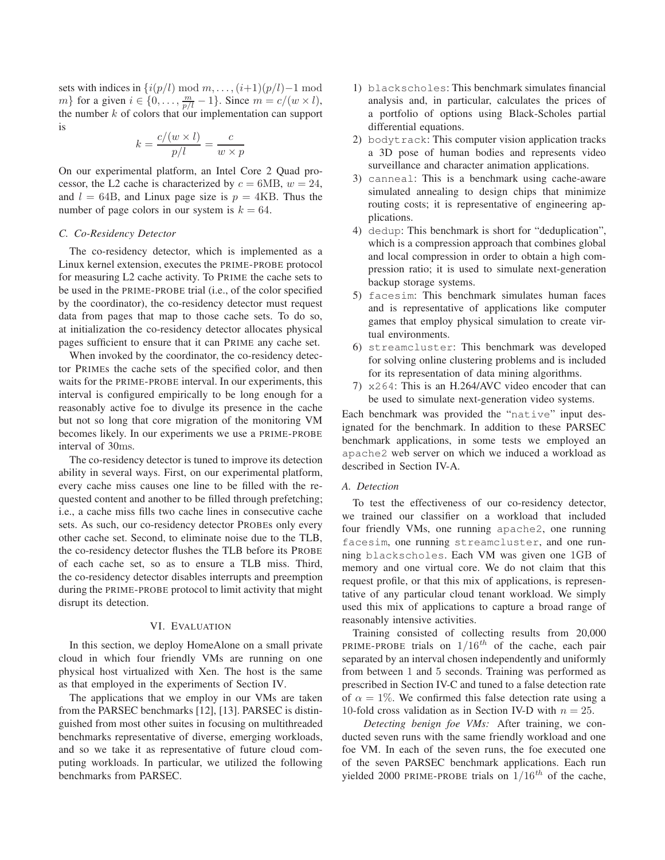sets with indices in  $\{i(p/l) \mod m, \ldots, (i+1)(p/l)-1 \mod m\}$ m} for a given  $i \in \{0, \ldots, \frac{m}{p/l} - 1\}$ . Since  $m = c/(w \times l)$ , the number  $k$  of colors that our implementation can support is

$$
k = \frac{c/(w \times l)}{p/l} = \frac{c}{w \times p}
$$

On our experimental platform, an Intel Core 2 Quad processor, the L2 cache is characterized by  $c = 6MB$ ,  $w = 24$ , and  $l = 64B$ , and Linux page size is  $p = 4KB$ . Thus the number of page colors in our system is  $k = 64$ .

#### *C. Co-Residency Detector*

The co-residency detector, which is implemented as a Linux kernel extension, executes the PRIME-PROBE protocol for measuring L2 cache activity. To PRIME the cache sets to be used in the PRIME-PROBE trial (i.e., of the color specified by the coordinator), the co-residency detector must request data from pages that map to those cache sets. To do so, at initialization the co-residency detector allocates physical pages sufficient to ensure that it can PRIME any cache set.

When invoked by the coordinator, the co-residency detector PRIMEs the cache sets of the specified color, and then waits for the PRIME-PROBE interval. In our experiments, this interval is configured empirically to be long enough for a reasonably active foe to divulge its presence in the cache but not so long that core migration of the monitoring VM becomes likely. In our experiments we use a PRIME-PROBE interval of 30ms.

The co-residency detector is tuned to improve its detection ability in several ways. First, on our experimental platform, every cache miss causes one line to be filled with the requested content and another to be filled through prefetching; i.e., a cache miss fills two cache lines in consecutive cache sets. As such, our co-residency detector PROBEs only every other cache set. Second, to eliminate noise due to the TLB, the co-residency detector flushes the TLB before its PROBE of each cache set, so as to ensure a TLB miss. Third, the co-residency detector disables interrupts and preemption during the PRIME-PROBE protocol to limit activity that might disrupt its detection.

#### VI. EVALUATION

In this section, we deploy HomeAlone on a small private cloud in which four friendly VMs are running on one physical host virtualized with Xen. The host is the same as that employed in the experiments of Section IV.

The applications that we employ in our VMs are taken from the PARSEC benchmarks [12], [13]. PARSEC is distinguished from most other suites in focusing on multithreaded benchmarks representative of diverse, emerging workloads, and so we take it as representative of future cloud computing workloads. In particular, we utilized the following benchmarks from PARSEC.

- 1) blackscholes: This benchmark simulates financial analysis and, in particular, calculates the prices of a portfolio of options using Black-Scholes partial differential equations.
- 2) bodytrack: This computer vision application tracks a 3D pose of human bodies and represents video surveillance and character animation applications.
- 3) canneal: This is a benchmark using cache-aware simulated annealing to design chips that minimize routing costs; it is representative of engineering applications.
- 4) dedup: This benchmark is short for "deduplication", which is a compression approach that combines global and local compression in order to obtain a high compression ratio; it is used to simulate next-generation backup storage systems.
- 5) facesim: This benchmark simulates human faces and is representative of applications like computer games that employ physical simulation to create virtual environments.
- 6) streamcluster: This benchmark was developed for solving online clustering problems and is included for its representation of data mining algorithms.
- 7) x264: This is an H.264/AVC video encoder that can be used to simulate next-generation video systems.

Each benchmark was provided the "native" input designated for the benchmark. In addition to these PARSEC benchmark applications, in some tests we employed an apache2 web server on which we induced a workload as described in Section IV-A.

#### *A. Detection*

To test the effectiveness of our co-residency detector, we trained our classifier on a workload that included four friendly VMs, one running apache2, one running facesim, one running streamcluster, and one running blackscholes. Each VM was given one 1GB of memory and one virtual core. We do not claim that this request profile, or that this mix of applications, is representative of any particular cloud tenant workload. We simply used this mix of applications to capture a broad range of reasonably intensive activities.

Training consisted of collecting results from 20,000 PRIME-PROBE trials on  $1/16^{th}$  of the cache, each pair separated by an interval chosen independently and uniformly from between 1 and 5 seconds. Training was performed as prescribed in Section IV-C and tuned to a false detection rate of  $\alpha = 1\%$ . We confirmed this false detection rate using a 10-fold cross validation as in Section IV-D with  $n = 25$ .

*Detecting benign foe VMs:* After training, we conducted seven runs with the same friendly workload and one foe VM. In each of the seven runs, the foe executed one of the seven PARSEC benchmark applications. Each run yielded 2000 PRIME-PROBE trials on  $1/16^{th}$  of the cache,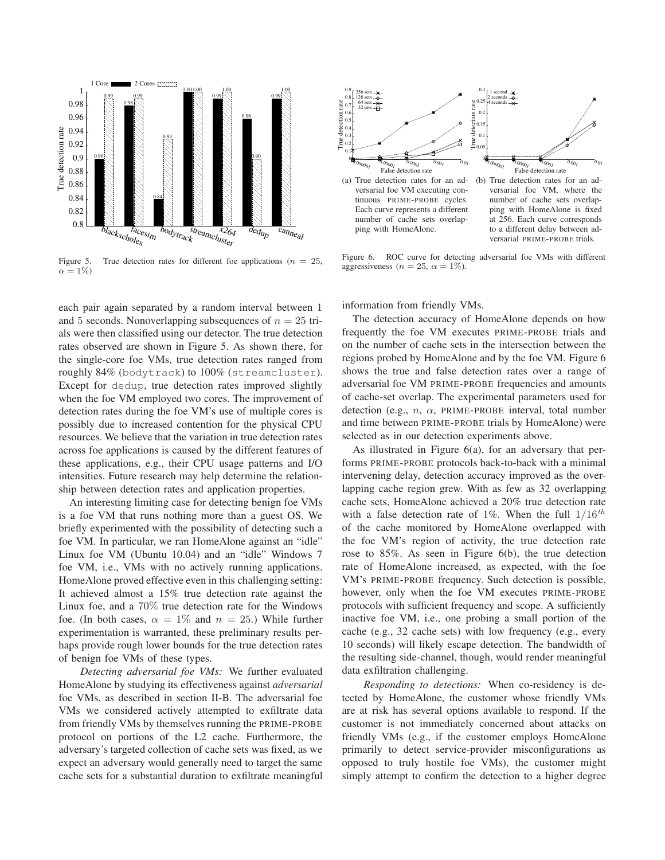

Figure 5. True detection rates for different foe applications ( $n = 25$ ,  $\alpha = 1\%)$ 

each pair again separated by a random interval between 1 and 5 seconds. Nonoverlapping subsequences of  $n = 25$  trials were then classified using our detector. The true detection rates observed are shown in Figure 5. As shown there, for the single-core foe VMs, true detection rates ranged from roughly 84% (bodytrack) to 100% (streamcluster). Except for dedup, true detection rates improved slightly when the foe VM employed two cores. The improvement of detection rates during the foe VM's use of multiple cores is possibly due to increased contention for the physical CPU resources. We believe that the variation in true detection rates across foe applications is caused by the different features of these applications, e.g., their CPU usage patterns and I/O intensities. Future research may help determine the relationship between detection rates and application properties.

An interesting limiting case for detecting benign foe VMs is a foe VM that runs nothing more than a guest OS. We briefly experimented with the possibility of detecting such a foe VM. In particular, we ran HomeAlone against an "idle" Linux foe VM (Ubuntu 10.04) and an "idle" Windows 7 foe VM, i.e., VMs with no actively running applications. HomeAlone proved effective even in this challenging setting: It achieved almost a 15% true detection rate against the Linux foe, and a 70% true detection rate for the Windows foe. (In both cases,  $\alpha = 1\%$  and  $n = 25$ .) While further experimentation is warranted, these preliminary results perhaps provide rough lower bounds for the true detection rates of benign foe VMs of these types.

*Detecting adversarial foe VMs:* We further evaluated HomeAlone by studying its effectiveness against *adversarial* foe VMs, as described in section II-B. The adversarial foe VMs we considered actively attempted to exfiltrate data from friendly VMs by themselves running the PRIME-PROBE protocol on portions of the L2 cache. Furthermore, the adversary's targeted collection of cache sets was fixed, as we expect an adversary would generally need to target the same cache sets for a substantial duration to exfiltrate meaningful



Figure 6. ROC curve for detecting adversarial foe VMs with different aggressiveness ( $n = 25$ ,  $\alpha = 1\%$ ).

information from friendly VMs.

The detection accuracy of HomeAlone depends on how frequently the foe VM executes PRIME-PROBE trials and on the number of cache sets in the intersection between the regions probed by HomeAlone and by the foe VM. Figure 6 shows the true and false detection rates over a range of adversarial foe VM PRIME-PROBE frequencies and amounts of cache-set overlap. The experimental parameters used for detection (e.g.,  $n$ ,  $\alpha$ , PRIME-PROBE interval, total number and time between PRIME-PROBE trials by HomeAlone) were selected as in our detection experiments above.

As illustrated in Figure 6(a), for an adversary that performs PRIME-PROBE protocols back-to-back with a minimal intervening delay, detection accuracy improved as the overlapping cache region grew. With as few as 32 overlapping cache sets, HomeAlone achieved a 20% true detection rate with a false detection rate of 1%. When the full  $1/16^{th}$ of the cache monitored by HomeAlone overlapped with the foe VM's region of activity, the true detection rate rose to 85%. As seen in Figure 6(b), the true detection rate of HomeAlone increased, as expected, with the foe VM's PRIME-PROBE frequency. Such detection is possible, however, only when the foe VM executes PRIME-PROBE protocols with sufficient frequency and scope. A sufficiently inactive foe VM, i.e., one probing a small portion of the cache (e.g., 32 cache sets) with low frequency (e.g., every 10 seconds) will likely escape detection. The bandwidth of the resulting side-channel, though, would render meaningful data exfiltration challenging.

*Responding to detections:* When co-residency is detected by HomeAlone, the customer whose friendly VMs are at risk has several options available to respond. If the customer is not immediately concerned about attacks on friendly VMs (e.g., if the customer employs HomeAlone primarily to detect service-provider misconfigurations as opposed to truly hostile foe VMs), the customer might simply attempt to confirm the detection to a higher degree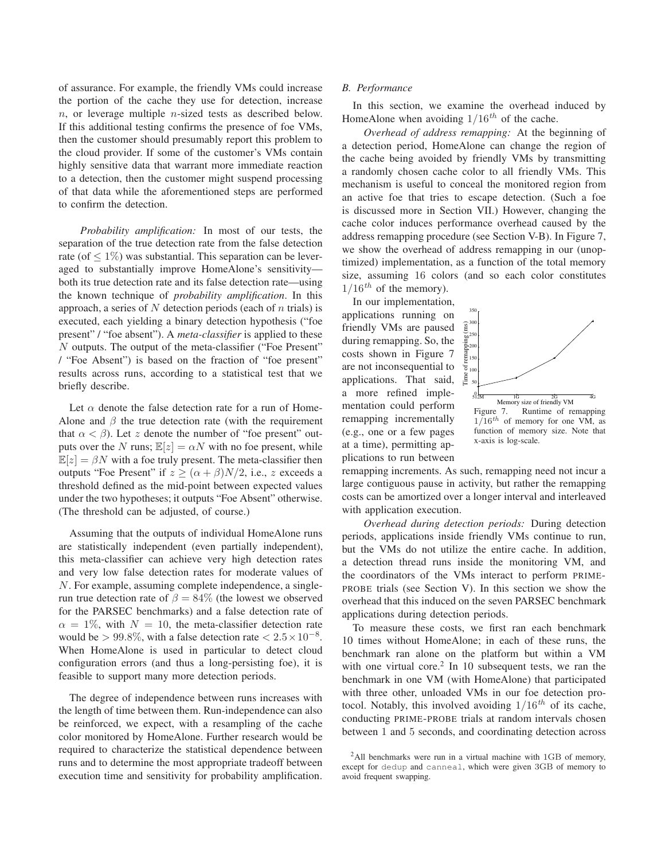of assurance. For example, the friendly VMs could increase the portion of the cache they use for detection, increase n, or leverage multiple n-sized tests as described below. If this additional testing confirms the presence of foe VMs, then the customer should presumably report this problem to the cloud provider. If some of the customer's VMs contain highly sensitive data that warrant more immediate reaction to a detection, then the customer might suspend processing of that data while the aforementioned steps are performed to confirm the detection.

*Probability amplification:* In most of our tests, the separation of the true detection rate from the false detection rate (of  $\leq 1\%$ ) was substantial. This separation can be leveraged to substantially improve HomeAlone's sensitivity both its true detection rate and its false detection rate—using the known technique of *probability amplification*. In this approach, a series of  $N$  detection periods (each of  $n$  trials) is executed, each yielding a binary detection hypothesis ("foe present" / "foe absent"). A *meta-classifier* is applied to these N outputs. The output of the meta-classifier ("Foe Present" / "Foe Absent") is based on the fraction of "foe present" results across runs, according to a statistical test that we briefly describe.

Let  $\alpha$  denote the false detection rate for a run of Home-Alone and  $\beta$  the true detection rate (with the requirement that  $\alpha < \beta$ ). Let z denote the number of "foe present" outputs over the N runs;  $\mathbb{E}[z] = \alpha N$  with no foe present, while  $\mathbb{E}[z] = \beta N$  with a foe truly present. The meta-classifier then outputs "Foe Present" if  $z > (\alpha + \beta)N/2$ , i.e., z exceeds a threshold defined as the mid-point between expected values under the two hypotheses; it outputs "Foe Absent" otherwise. (The threshold can be adjusted, of course.)

Assuming that the outputs of individual HomeAlone runs are statistically independent (even partially independent), this meta-classifier can achieve very high detection rates and very low false detection rates for moderate values of N. For example, assuming complete independence, a singlerun true detection rate of  $\beta = 84\%$  (the lowest we observed for the PARSEC benchmarks) and a false detection rate of  $\alpha = 1\%$ , with  $N = 10$ , the meta-classifier detection rate would be > 99.8%, with a false detection rate  $< 2.5 \times 10^{-8}$ . When HomeAlone is used in particular to detect cloud configuration errors (and thus a long-persisting foe), it is feasible to support many more detection periods.

The degree of independence between runs increases with the length of time between them. Run-independence can also be reinforced, we expect, with a resampling of the cache color monitored by HomeAlone. Further research would be required to characterize the statistical dependence between runs and to determine the most appropriate tradeoff between execution time and sensitivity for probability amplification.

#### *B. Performance*

In this section, we examine the overhead induced by HomeAlone when avoiding  $1/16^{th}$  of the cache.

*Overhead of address remapping:* At the beginning of a detection period, HomeAlone can change the region of the cache being avoided by friendly VMs by transmitting a randomly chosen cache color to all friendly VMs. This mechanism is useful to conceal the monitored region from an active foe that tries to escape detection. (Such a foe is discussed more in Section VII.) However, changing the cache color induces performance overhead caused by the address remapping procedure (see Section V-B). In Figure 7, we show the overhead of address remapping in our (unoptimized) implementation, as a function of the total memory size, assuming 16 colors (and so each color constitutes  $1/16^{th}$  of the memory).

In our implementation, applications running on friendly VMs are paused during remapping. So, the costs shown in Figure 7 are not inconsequential to applications. That said, a more refined implementation could perform remapping incrementally (e.g., one or a few pages at a time), permitting applications to run between



remapping increments. As such, remapping need not incur a large contiguous pause in activity, but rather the remapping costs can be amortized over a longer interval and interleaved with application execution.

*Overhead during detection periods:* During detection periods, applications inside friendly VMs continue to run, but the VMs do not utilize the entire cache. In addition, a detection thread runs inside the monitoring VM, and the coordinators of the VMs interact to perform PRIME-PROBE trials (see Section V). In this section we show the overhead that this induced on the seven PARSEC benchmark applications during detection periods.

To measure these costs, we first ran each benchmark 10 times without HomeAlone; in each of these runs, the benchmark ran alone on the platform but within a VM with one virtual core.<sup>2</sup> In 10 subsequent tests, we ran the benchmark in one VM (with HomeAlone) that participated with three other, unloaded VMs in our foe detection protocol. Notably, this involved avoiding  $1/16^{th}$  of its cache, conducting PRIME-PROBE trials at random intervals chosen between 1 and 5 seconds, and coordinating detection across

 $^{2}$ All benchmarks were run in a virtual machine with 1GB of memory, except for dedup and canneal, which were given 3GB of memory to avoid frequent swapping.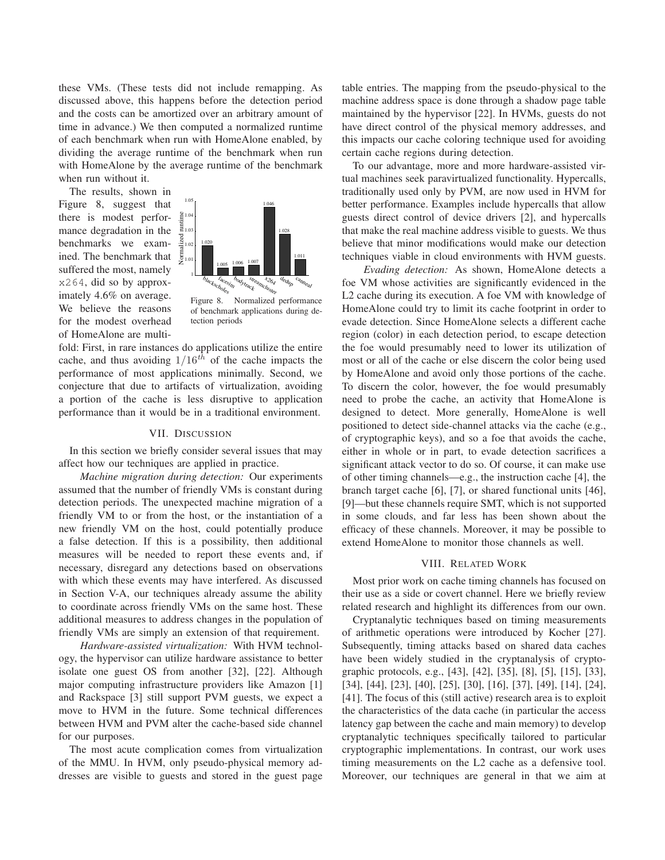these VMs. (These tests did not include remapping. As discussed above, this happens before the detection period and the costs can be amortized over an arbitrary amount of time in advance.) We then computed a normalized runtime of each benchmark when run with HomeAlone enabled, by dividing the average runtime of the benchmark when run with HomeAlone by the average runtime of the benchmark when run without it.

The results, shown in Figure 8, suggest that there is modest performance degradation in the benchmarks we examined. The benchmark that suffered the most, namely x264, did so by approximately 4.6% on average. We believe the reasons for the modest overhead of HomeAlone are multi-



Figure 8. Normalized performance of benchmark applications during detection periods

fold: First, in rare instances do applications utilize the entire cache, and thus avoiding  $1/16^{th}$  of the cache impacts the performance of most applications minimally. Second, we conjecture that due to artifacts of virtualization, avoiding a portion of the cache is less disruptive to application performance than it would be in a traditional environment.

## VII. DISCUSSION

In this section we briefly consider several issues that may affect how our techniques are applied in practice.

*Machine migration during detection:* Our experiments assumed that the number of friendly VMs is constant during detection periods. The unexpected machine migration of a friendly VM to or from the host, or the instantiation of a new friendly VM on the host, could potentially produce a false detection. If this is a possibility, then additional measures will be needed to report these events and, if necessary, disregard any detections based on observations with which these events may have interfered. As discussed in Section V-A, our techniques already assume the ability to coordinate across friendly VMs on the same host. These additional measures to address changes in the population of friendly VMs are simply an extension of that requirement.

*Hardware-assisted virtualization:* With HVM technology, the hypervisor can utilize hardware assistance to better isolate one guest OS from another [32], [22]. Although major computing infrastructure providers like Amazon [1] and Rackspace [3] still support PVM guests, we expect a move to HVM in the future. Some technical differences between HVM and PVM alter the cache-based side channel for our purposes.

The most acute complication comes from virtualization of the MMU. In HVM, only pseudo-physical memory addresses are visible to guests and stored in the guest page table entries. The mapping from the pseudo-physical to the machine address space is done through a shadow page table maintained by the hypervisor [22]. In HVMs, guests do not have direct control of the physical memory addresses, and this impacts our cache coloring technique used for avoiding certain cache regions during detection.

To our advantage, more and more hardware-assisted virtual machines seek paravirtualized functionality. Hypercalls, traditionally used only by PVM, are now used in HVM for better performance. Examples include hypercalls that allow guests direct control of device drivers [2], and hypercalls that make the real machine address visible to guests. We thus believe that minor modifications would make our detection techniques viable in cloud environments with HVM guests.

*Evading detection:* As shown, HomeAlone detects a foe VM whose activities are significantly evidenced in the L2 cache during its execution. A foe VM with knowledge of HomeAlone could try to limit its cache footprint in order to evade detection. Since HomeAlone selects a different cache region (color) in each detection period, to escape detection the foe would presumably need to lower its utilization of most or all of the cache or else discern the color being used by HomeAlone and avoid only those portions of the cache. To discern the color, however, the foe would presumably need to probe the cache, an activity that HomeAlone is designed to detect. More generally, HomeAlone is well positioned to detect side-channel attacks via the cache (e.g., of cryptographic keys), and so a foe that avoids the cache, either in whole or in part, to evade detection sacrifices a significant attack vector to do so. Of course, it can make use of other timing channels—e.g., the instruction cache [4], the branch target cache [6], [7], or shared functional units [46], [9]—but these channels require SMT, which is not supported in some clouds, and far less has been shown about the efficacy of these channels. Moreover, it may be possible to extend HomeAlone to monitor those channels as well.

### VIII. RELATED WORK

Most prior work on cache timing channels has focused on their use as a side or covert channel. Here we briefly review related research and highlight its differences from our own.

Cryptanalytic techniques based on timing measurements of arithmetic operations were introduced by Kocher [27]. Subsequently, timing attacks based on shared data caches have been widely studied in the cryptanalysis of cryptographic protocols, e.g., [43], [42], [35], [8], [5], [15], [33], [34], [44], [23], [40], [25], [30], [16], [37], [49], [14], [24], [41]. The focus of this (still active) research area is to exploit the characteristics of the data cache (in particular the access latency gap between the cache and main memory) to develop cryptanalytic techniques specifically tailored to particular cryptographic implementations. In contrast, our work uses timing measurements on the L2 cache as a defensive tool. Moreover, our techniques are general in that we aim at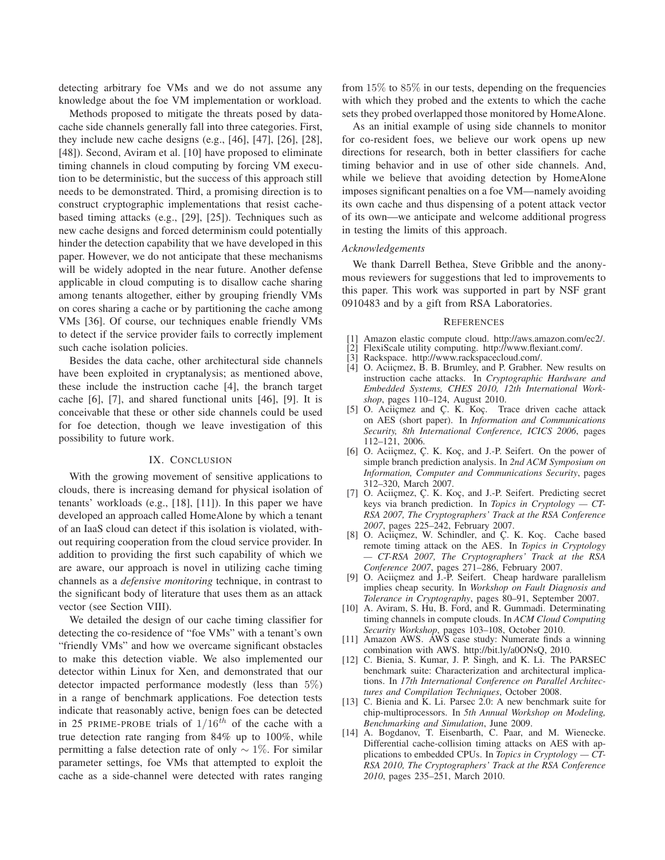detecting arbitrary foe VMs and we do not assume any knowledge about the foe VM implementation or workload.

Methods proposed to mitigate the threats posed by datacache side channels generally fall into three categories. First, they include new cache designs (e.g., [46], [47], [26], [28], [48]). Second, Aviram et al. [10] have proposed to eliminate timing channels in cloud computing by forcing VM execution to be deterministic, but the success of this approach still needs to be demonstrated. Third, a promising direction is to construct cryptographic implementations that resist cachebased timing attacks (e.g., [29], [25]). Techniques such as new cache designs and forced determinism could potentially hinder the detection capability that we have developed in this paper. However, we do not anticipate that these mechanisms will be widely adopted in the near future. Another defense applicable in cloud computing is to disallow cache sharing among tenants altogether, either by grouping friendly VMs on cores sharing a cache or by partitioning the cache among VMs [36]. Of course, our techniques enable friendly VMs to detect if the service provider fails to correctly implement such cache isolation policies.

Besides the data cache, other architectural side channels have been exploited in cryptanalysis; as mentioned above, these include the instruction cache [4], the branch target cache [6], [7], and shared functional units [46], [9]. It is conceivable that these or other side channels could be used for foe detection, though we leave investigation of this possibility to future work.

### IX. CONCLUSION

With the growing movement of sensitive applications to clouds, there is increasing demand for physical isolation of tenants' workloads (e.g., [18], [11]). In this paper we have developed an approach called HomeAlone by which a tenant of an IaaS cloud can detect if this isolation is violated, without requiring cooperation from the cloud service provider. In addition to providing the first such capability of which we are aware, our approach is novel in utilizing cache timing channels as a *defensive monitoring* technique, in contrast to the significant body of literature that uses them as an attack vector (see Section VIII).

We detailed the design of our cache timing classifier for detecting the co-residence of "foe VMs" with a tenant's own "friendly VMs" and how we overcame significant obstacles to make this detection viable. We also implemented our detector within Linux for Xen, and demonstrated that our detector impacted performance modestly (less than 5%) in a range of benchmark applications. Foe detection tests indicate that reasonably active, benign foes can be detected in 25 PRIME-PROBE trials of  $1/16^{th}$  of the cache with a true detection rate ranging from 84% up to 100%, while permitting a false detection rate of only  $\sim 1\%$ . For similar parameter settings, foe VMs that attempted to exploit the cache as a side-channel were detected with rates ranging from 15% to 85% in our tests, depending on the frequencies with which they probed and the extents to which the cache sets they probed overlapped those monitored by HomeAlone.

As an initial example of using side channels to monitor for co-resident foes, we believe our work opens up new directions for research, both in better classifiers for cache timing behavior and in use of other side channels. And, while we believe that avoiding detection by HomeAlone imposes significant penalties on a foe VM—namely avoiding its own cache and thus dispensing of a potent attack vector of its own—we anticipate and welcome additional progress in testing the limits of this approach.

#### *Acknowledgements*

We thank Darrell Bethea, Steve Gribble and the anonymous reviewers for suggestions that led to improvements to this paper. This work was supported in part by NSF grant 0910483 and by a gift from RSA Laboratories.

### **REFERENCES**

- [1] Amazon elastic compute cloud. http://aws.amazon.com/ec2/.
- [2] FlexiScale utility computing. http://www.flexiant.com/.
- [3] Rackspace. http://www.rackspacecloud.com/.
- [4] O. Aciiçmez, B. B. Brumley, and P. Grabher. New results on instruction cache attacks. In *Cryptographic Hardware and Embedded Systems, CHES 2010, 12th International Workshop*, pages 110–124, August 2010.
- [5] O. Aciic mez and C. K. Koc. Trace driven cache attack on AES (short paper). In *Information and Communications Security, 8th International Conference, ICICS 2006*, pages 112–121, 2006.
- [6] O. Aciiçmez, Ç. K. Koç, and J.-P. Seifert. On the power of simple branch prediction analysis. In *2nd ACM Symposium on Information, Computer and Communications Security*, pages 312–320, March 2007.
- [7] O. Aciiçmez, Ç. K. Koç, and J.-P. Seifert. Predicting secret keys via branch prediction. In *Topics in Cryptology — CT-RSA 2007, The Cryptographers' Track at the RSA Conference 2007*, pages 225–242, February 2007.
- [8] O. Aciiçmez, W. Schindler, and Ç. K. Koç. Cache based remote timing attack on the AES. In *Topics in Cryptology — CT-RSA 2007, The Cryptographers' Track at the RSA Conference 2007*, pages 271–286, February 2007.
- [9] O. Aciiçmez and J.-P. Seifert. Cheap hardware parallelism implies cheap security. In *Workshop on Fault Diagnosis and Tolerance in Cryptography*, pages 80–91, September 2007.
- [10] A. Aviram, S. Hu, B. Ford, and R. Gummadi. Determinating timing channels in compute clouds. In *ACM Cloud Computing Security Workshop*, pages 103–108, October 2010.
- [11] Amazon AWS. AWS case study: Numerate finds a winning combination with AWS. http://bit.ly/a0ONsQ, 2010.
- [12] C. Bienia, S. Kumar, J. P. Singh, and K. Li. The PARSEC benchmark suite: Characterization and architectural implications. In *17th International Conference on Parallel Architectures and Compilation Techniques*, October 2008.
- [13] C. Bienia and K. Li. Parsec 2.0: A new benchmark suite for chip-multiprocessors. In *5th Annual Workshop on Modeling, Benchmarking and Simulation*, June 2009.
- [14] A. Bogdanov, T. Eisenbarth, C. Paar, and M. Wienecke. Differential cache-collision timing attacks on AES with applications to embedded CPUs. In *Topics in Cryptology — CT-RSA 2010, The Cryptographers' Track at the RSA Conference 2010*, pages 235–251, March 2010.